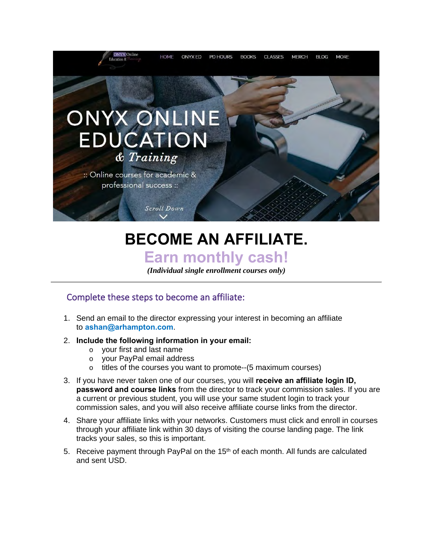

# **BECOME AN AFFILIATE. Earn monthly cash!**

*(Individual single enrollment courses only)*

## Complete these steps to become an affiliate:

1. Send an email to the director expressing your interest in becoming an affiliate to **ashan@arhampton.com**.

#### 2. **Include the following information in your email:**

- o your first and last name
- o your PayPal email address
- o titles of the courses you want to promote--(5 maximum courses)
- 3. If you have never taken one of our courses, you will **receive an affiliate login ID, password and course links** from the director to track your commission sales. If you are a current or previous student, you will use your same student login to track your commission sales, and you will also receive affiliate course links from the director.
- 4. Share your affiliate links with your networks. Customers must click and enroll in courses through your affiliate link within 30 days of visiting the course landing page. The link tracks your sales, so this is important.
- 5. Receive payment through PayPal on the  $15<sup>th</sup>$  of each month. All funds are calculated and sent USD.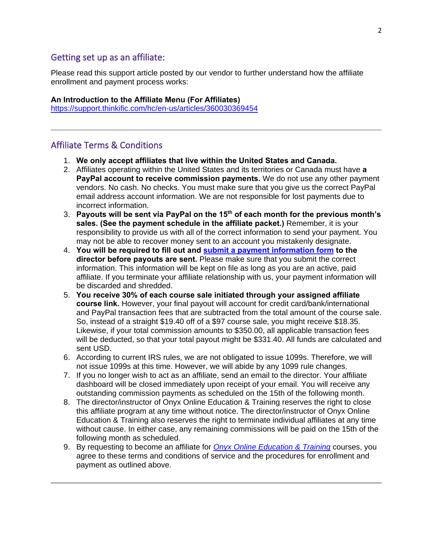#### Getting set up as an affiliate:

Please read this [support](https://support.thinkific.com/hc/en-us/articles/360030369454) article posted by our vendor to further understand how the affiliate enrollment and payment process works:

### **An Introduction to the Affiliate Menu (For Affiliates)**

<https://support.thinkific.com/hc/en-us/articles/360030369454>

## Affiliate Terms & Conditions

- 1. **We only accept affiliates that live within the United States and Canada.**
- 2. Affiliates operating within the United States and its territories or Canada must have **a PayPal account to receive commission payments.** We do not use any other payment vendors. No cash. No checks. You must make sure that you give us the correct PayPal email address account information. We are not responsible for lost payments due to incorrect information.
- 3. **Payouts will be sent via PayPal on the 15th of each month for the previous month's sales. (See the payment schedule in the affiliate packet.)** Remember, it is your responsibility to provide us with all of the correct information to send your payment. You may not be able to recover money sent to an account you mistakenly designate.
- 4. **You will be required to fill out and submit a payment [information](https://63b7bf2b-ef84-4057-bf28-25e087f996ef.filesusr.com/ugd/db3d0a_93782ddca26c420bb4d76a9026004cea.pdf) form to the director before payouts are sent.** Please make sure that you submit the correct information. This information will be kept on file as long as you are an active, paid affiliate. If you terminate your affiliate relationship with us, your payment information will be discarded and shredded.
- 5. **You receive 30% of each course sale initiated through your assigned affiliate course link.** However, your final payout will account for credit card/bank/international and PayPal transaction fees that are subtracted from the total amount of the course sale. So, instead of a straight \$19.40 off of a \$97 course sale, you might receive \$18.35. Likewise, if your total commission amounts to \$350.00, all applicable transaction fees will be deducted, so that your total payout might be \$331.40. All funds are calculated and sent USD.
- 6. According to current IRS rules, we are not obligated to issue 1099s. Therefore, we will not issue 1099s at this time. However, we will abide by any 1099 rule changes.
- 7. If you no longer wish to act as an affiliate, send an email to the director. Your affiliate dashboard will be closed immediately upon receipt of your email. You will receive any outstanding commission payments as scheduled on the 15th of the following month.
- 8. The director/instructor of Onyx Online Education & Training reserves the right to close this affiliate program at any time without notice. The director/instructor of Onyx Online Education & Training also reserves the right to terminate individual affiliates at any time without cause. In either case, any remaining commissions will be paid on the 15th of the following month as scheduled.
- 9. By requesting to become an affiliate for *Onyx Online [Education](https://www.onyxedonline.com/) & Training* courses, you agree to these terms and conditions of service and the procedures for enrollment and payment as outlined above.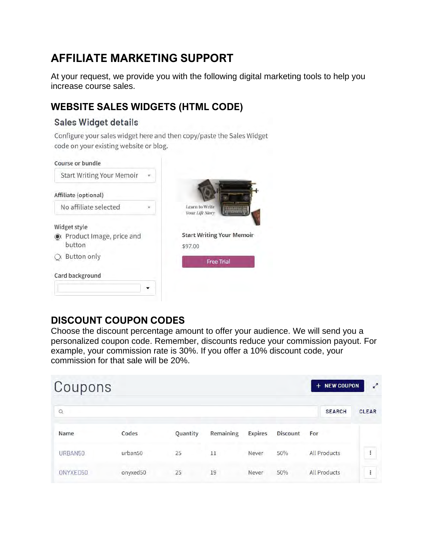## **AFFILIATE MARKETING SUPPORT**

At your request, we provide you with the following digital marketing tools to help you increase course sales.

## **WEBSITE SALES WIDGETS (HTML CODE)**

#### Sales Widget details

Configure your sales widget here and then copy/paste the Sales Widget code on your existing website or blog.

| Course or bundle                   |                                             |
|------------------------------------|---------------------------------------------|
| <b>Start Writing Your Memoir</b>   |                                             |
| Affiliate (optional)               |                                             |
| No affiliate selected              | Learn to Write<br>Your Life Story           |
| Widget style                       |                                             |
| Product Image, price and<br>button | <b>Start Writing Your Memoir</b><br>\$97.00 |
| Button only                        | <b>Free Trial</b>                           |
| Card background                    |                                             |
|                                    |                                             |

## **DISCOUNT COUPON CODES**

Choose the discount percentage amount to offer your audience. We will send you a personalized coupon code. Remember, discounts reduce your commission payout. For example, your commission rate is 30%. If you offer a 10% discount code, your commission for that sale will be 20%.

| Coupons  |          |          |                                                                                                                                                                                                                                                                                                                                                                                                                                                                                  |                | + NEW COUPON    | $\mathbf{r}^{\prime}$ |                      |
|----------|----------|----------|----------------------------------------------------------------------------------------------------------------------------------------------------------------------------------------------------------------------------------------------------------------------------------------------------------------------------------------------------------------------------------------------------------------------------------------------------------------------------------|----------------|-----------------|-----------------------|----------------------|
| $\alpha$ |          |          |                                                                                                                                                                                                                                                                                                                                                                                                                                                                                  |                |                 | <b>SEARCH</b>         | <b>CLEAR</b>         |
| Name     | Codes    | Quantity | Remaining                                                                                                                                                                                                                                                                                                                                                                                                                                                                        | <b>Expires</b> | <b>Discount</b> | For                   |                      |
| URBAN50  | urban50  | 25       | 11<br>$\frac{1}{2} \left( \frac{1}{2} \right) \left( \frac{1}{2} \right) \left( \frac{1}{2} \right) \left( \frac{1}{2} \right) \left( \frac{1}{2} \right) \left( \frac{1}{2} \right) \left( \frac{1}{2} \right) \left( \frac{1}{2} \right) \left( \frac{1}{2} \right) \left( \frac{1}{2} \right) \left( \frac{1}{2} \right) \left( \frac{1}{2} \right) \left( \frac{1}{2} \right) \left( \frac{1}{2} \right) \left( \frac{1}{2} \right) \left( \frac{1}{2} \right) \left( \frac$ | Never          | 50%             | <b>All Products</b>   | $\ddot{\phantom{0}}$ |
| ONYXED50 | onyxed50 | 25       | 19                                                                                                                                                                                                                                                                                                                                                                                                                                                                               | Never          | 50%             | All Products          | $\vdots$             |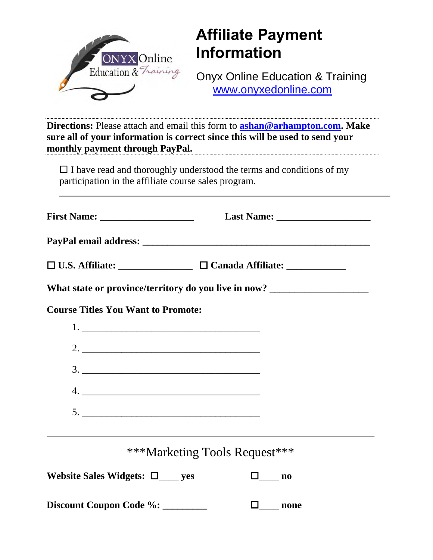

# **Affiliate Payment Information**

Onyx Online Education & Training [www.onyxedonline.com](http://www.onyxedonline.com/)

**Directions:** Please attach and email this form to **[ashan@arhampton.com.](mailto:ashan@arhampton.com) Make sure all of your information is correct since this will be used to send your monthly payment through PayPal.**

 $\Box$  I have read and thoroughly understood the terms and conditions of my participation in the affiliate course sales program.

| What state or province/territory do you live in now? ___________________________ |                               |  |  |  |  |  |
|----------------------------------------------------------------------------------|-------------------------------|--|--|--|--|--|
| <b>Course Titles You Want to Promote:</b>                                        |                               |  |  |  |  |  |
|                                                                                  |                               |  |  |  |  |  |
|                                                                                  |                               |  |  |  |  |  |
|                                                                                  |                               |  |  |  |  |  |
|                                                                                  |                               |  |  |  |  |  |
|                                                                                  |                               |  |  |  |  |  |
|                                                                                  | ***Marketing Tools Request*** |  |  |  |  |  |
| Website Sales Widgets: $\square$ yes                                             | $\square$ no                  |  |  |  |  |  |
| Discount Coupon Code %: ________                                                 | $\Box$ none                   |  |  |  |  |  |